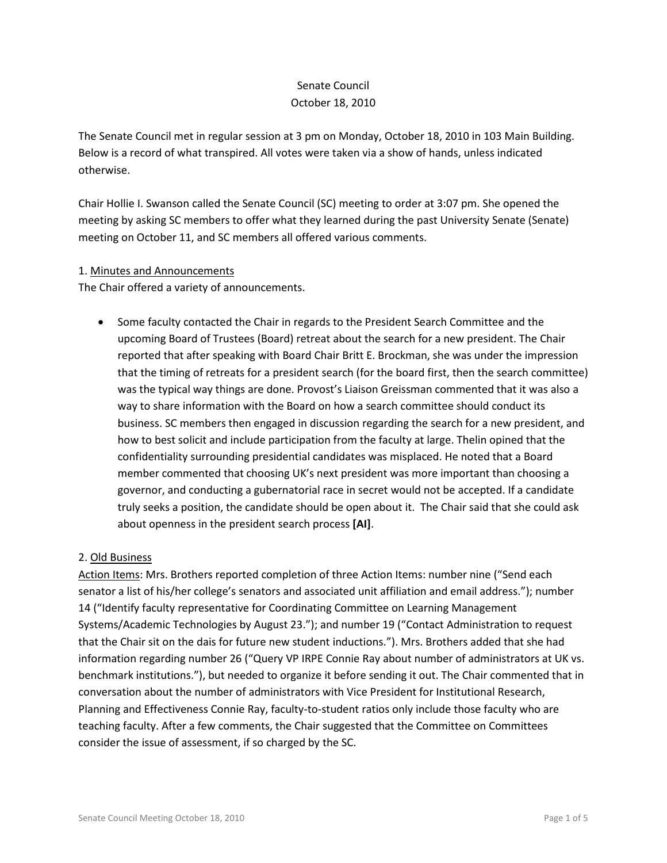# Senate Council October 18, 2010

The Senate Council met in regular session at 3 pm on Monday, October 18, 2010 in 103 Main Building. Below is a record of what transpired. All votes were taken via a show of hands, unless indicated otherwise.

Chair Hollie I. Swanson called the Senate Council (SC) meeting to order at 3:07 pm. She opened the meeting by asking SC members to offer what they learned during the past University Senate (Senate) meeting on October 11, and SC members all offered various comments.

### 1. Minutes and Announcements

The Chair offered a variety of announcements.

• Some faculty contacted the Chair in regards to the President Search Committee and the upcoming Board of Trustees (Board) retreat about the search for a new president. The Chair reported that after speaking with Board Chair Britt E. Brockman, she was under the impression that the timing of retreats for a president search (for the board first, then the search committee) was the typical way things are done. Provost's Liaison Greissman commented that it was also a way to share information with the Board on how a search committee should conduct its business. SC members then engaged in discussion regarding the search for a new president, and how to best solicit and include participation from the faculty at large. Thelin opined that the confidentiality surrounding presidential candidates was misplaced. He noted that a Board member commented that choosing UK's next president was more important than choosing a governor, and conducting a gubernatorial race in secret would not be accepted. If a candidate truly seeks a position, the candidate should be open about it. The Chair said that she could ask about openness in the president search process **[AI]**.

# 2. Old Business

Action Items: Mrs. Brothers reported completion of three Action Items: number nine ("Send each senator a list of his/her college's senators and associated unit affiliation and email address."); number 14 ("Identify faculty representative for Coordinating Committee on Learning Management Systems/Academic Technologies by August 23."); and number 19 ("Contact Administration to request that the Chair sit on the dais for future new student inductions."). Mrs. Brothers added that she had information regarding number 26 ("Query VP IRPE Connie Ray about number of administrators at UK vs. benchmark institutions."), but needed to organize it before sending it out. The Chair commented that in conversation about the number of administrators with Vice President for Institutional Research, Planning and Effectiveness Connie Ray, faculty-to-student ratios only include those faculty who are teaching faculty. After a few comments, the Chair suggested that the Committee on Committees consider the issue of assessment, if so charged by the SC.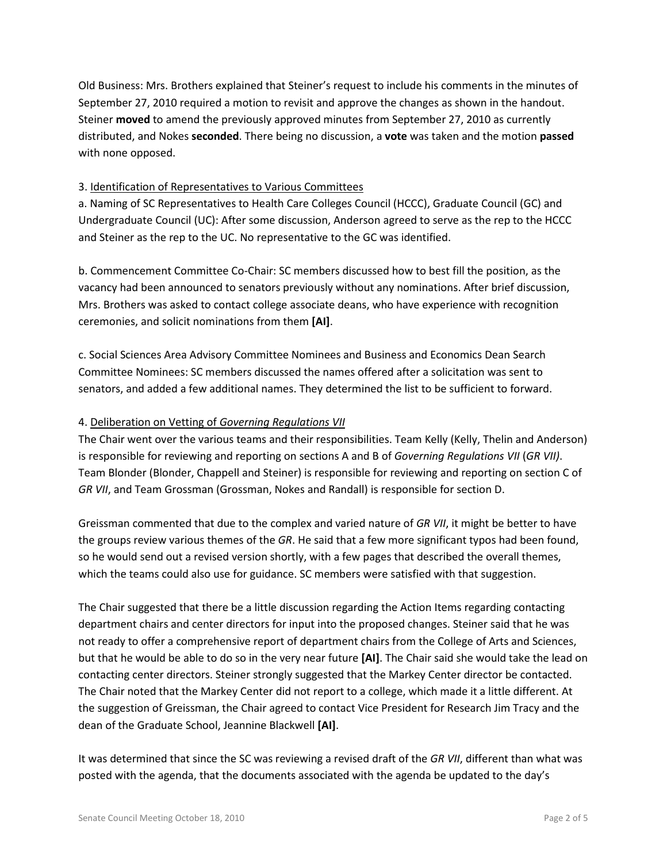Old Business: Mrs. Brothers explained that Steiner's request to include his comments in the minutes of September 27, 2010 required a motion to revisit and approve the changes as shown in the handout. Steiner **moved** to amend the previously approved minutes from September 27, 2010 as currently distributed, and Nokes **seconded**. There being no discussion, a **vote** was taken and the motion **passed** with none opposed.

### 3. Identification of Representatives to Various Committees

a. Naming of SC Representatives to Health Care Colleges Council (HCCC), Graduate Council (GC) and Undergraduate Council (UC): After some discussion, Anderson agreed to serve as the rep to the HCCC and Steiner as the rep to the UC. No representative to the GC was identified.

b. Commencement Committee Co-Chair: SC members discussed how to best fill the position, as the vacancy had been announced to senators previously without any nominations. After brief discussion, Mrs. Brothers was asked to contact college associate deans, who have experience with recognition ceremonies, and solicit nominations from them **[AI]**.

c. Social Sciences Area Advisory Committee Nominees and Business and Economics Dean Search Committee Nominees: SC members discussed the names offered after a solicitation was sent to senators, and added a few additional names. They determined the list to be sufficient to forward.

### 4. Deliberation on Vetting of *Governing Regulations VII*

The Chair went over the various teams and their responsibilities. Team Kelly (Kelly, Thelin and Anderson) is responsible for reviewing and reporting on sections A and B of *Governing Regulations VII* (*GR VII)*. Team Blonder (Blonder, Chappell and Steiner) is responsible for reviewing and reporting on section C of *GR VII*, and Team Grossman (Grossman, Nokes and Randall) is responsible for section D.

Greissman commented that due to the complex and varied nature of *GR VII*, it might be better to have the groups review various themes of the *GR*. He said that a few more significant typos had been found, so he would send out a revised version shortly, with a few pages that described the overall themes, which the teams could also use for guidance. SC members were satisfied with that suggestion.

The Chair suggested that there be a little discussion regarding the Action Items regarding contacting department chairs and center directors for input into the proposed changes. Steiner said that he was not ready to offer a comprehensive report of department chairs from the College of Arts and Sciences, but that he would be able to do so in the very near future **[AI]**. The Chair said she would take the lead on contacting center directors. Steiner strongly suggested that the Markey Center director be contacted. The Chair noted that the Markey Center did not report to a college, which made it a little different. At the suggestion of Greissman, the Chair agreed to contact Vice President for Research Jim Tracy and the dean of the Graduate School, Jeannine Blackwell **[AI]**.

It was determined that since the SC was reviewing a revised draft of the *GR VII*, different than what was posted with the agenda, that the documents associated with the agenda be updated to the day's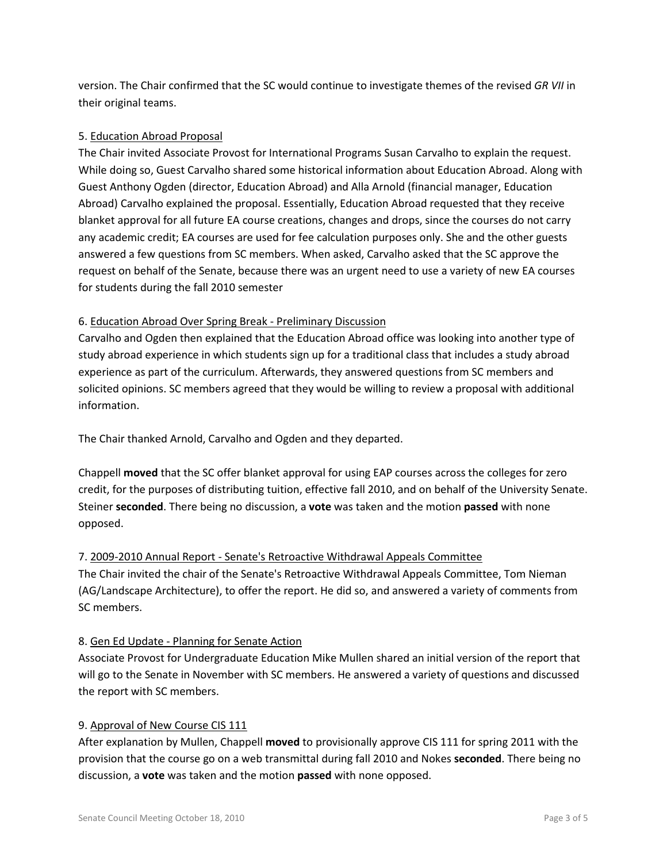version. The Chair confirmed that the SC would continue to investigate themes of the revised *GR VII* in their original teams.

## 5. Education Abroad Proposal

The Chair invited Associate Provost for International Programs Susan Carvalho to explain the request. While doing so, Guest Carvalho shared some historical information about Education Abroad. Along with Guest Anthony Ogden (director, Education Abroad) and Alla Arnold (financial manager, Education Abroad) Carvalho explained the proposal. Essentially, Education Abroad requested that they receive blanket approval for all future EA course creations, changes and drops, since the courses do not carry any academic credit; EA courses are used for fee calculation purposes only. She and the other guests answered a few questions from SC members. When asked, Carvalho asked that the SC approve the request on behalf of the Senate, because there was an urgent need to use a variety of new EA courses for students during the fall 2010 semester

### 6. Education Abroad Over Spring Break - Preliminary Discussion

Carvalho and Ogden then explained that the Education Abroad office was looking into another type of study abroad experience in which students sign up for a traditional class that includes a study abroad experience as part of the curriculum. Afterwards, they answered questions from SC members and solicited opinions. SC members agreed that they would be willing to review a proposal with additional information.

The Chair thanked Arnold, Carvalho and Ogden and they departed.

Chappell **moved** that the SC offer blanket approval for using EAP courses across the colleges for zero credit, for the purposes of distributing tuition, effective fall 2010, and on behalf of the University Senate. Steiner **seconded**. There being no discussion, a **vote** was taken and the motion **passed** with none opposed.

### 7. 2009-2010 Annual Report - Senate's Retroactive Withdrawal Appeals Committee

The Chair invited the chair of the Senate's Retroactive Withdrawal Appeals Committee, Tom Nieman (AG/Landscape Architecture), to offer the report. He did so, and answered a variety of comments from SC members.

### 8. Gen Ed Update - Planning for Senate Action

Associate Provost for Undergraduate Education Mike Mullen shared an initial version of the report that will go to the Senate in November with SC members. He answered a variety of questions and discussed the report with SC members.

### 9. Approval of New Course CIS 111

After explanation by Mullen, Chappell **moved** to provisionally approve CIS 111 for spring 2011 with the provision that the course go on a web transmittal during fall 2010 and Nokes **seconded**. There being no discussion, a **vote** was taken and the motion **passed** with none opposed.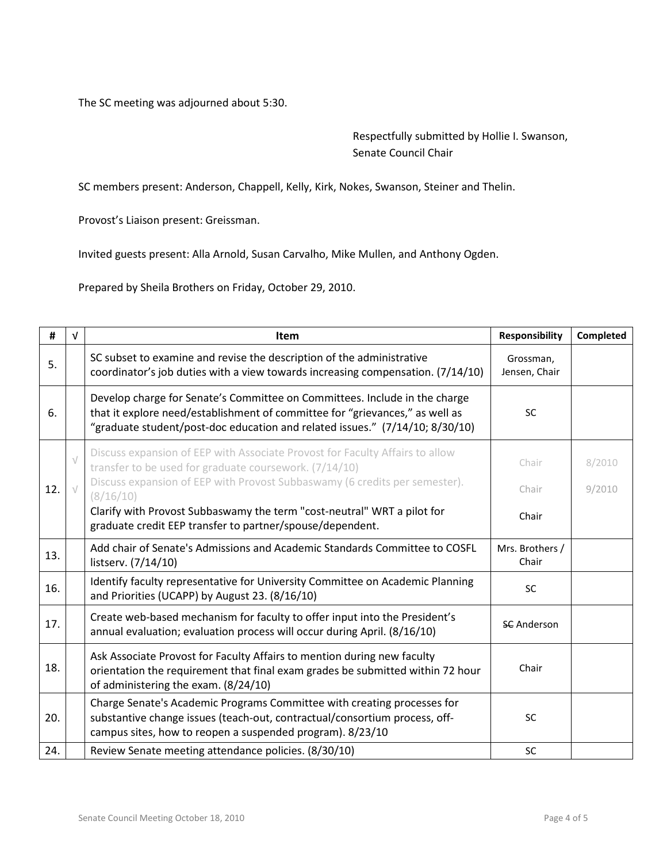The SC meeting was adjourned about 5:30.

Respectfully submitted by Hollie I. Swanson, Senate Council Chair

SC members present: Anderson, Chappell, Kelly, Kirk, Nokes, Swanson, Steiner and Thelin.

Provost's Liaison present: Greissman.

Invited guests present: Alla Arnold, Susan Carvalho, Mike Mullen, and Anthony Ogden.

Prepared by Sheila Brothers on Friday, October 29, 2010.

| #   | $\sqrt{ }$ | <b>Item</b>                                                                                                                                                                                                                                | Responsibility             | Completed |
|-----|------------|--------------------------------------------------------------------------------------------------------------------------------------------------------------------------------------------------------------------------------------------|----------------------------|-----------|
| 5.  |            | SC subset to examine and revise the description of the administrative<br>coordinator's job duties with a view towards increasing compensation. (7/14/10)                                                                                   | Grossman,<br>Jensen, Chair |           |
| 6.  |            | Develop charge for Senate's Committee on Committees. Include in the charge<br>that it explore need/establishment of committee for "grievances," as well as<br>"graduate student/post-doc education and related issues." (7/14/10; 8/30/10) | <b>SC</b>                  |           |
|     | $\sqrt{}$  | Discuss expansion of EEP with Associate Provost for Faculty Affairs to allow<br>transfer to be used for graduate coursework. (7/14/10)                                                                                                     | Chair                      | 8/2010    |
| 12. |            | Discuss expansion of EEP with Provost Subbaswamy (6 credits per semester).<br>(8/16/10)                                                                                                                                                    | Chair                      | 9/2010    |
|     |            | Clarify with Provost Subbaswamy the term "cost-neutral" WRT a pilot for<br>graduate credit EEP transfer to partner/spouse/dependent.                                                                                                       | Chair                      |           |
| 13. |            | Add chair of Senate's Admissions and Academic Standards Committee to COSFL<br>listserv. (7/14/10)                                                                                                                                          | Mrs. Brothers /<br>Chair   |           |
| 16. |            | Identify faculty representative for University Committee on Academic Planning<br>and Priorities (UCAPP) by August 23. (8/16/10)                                                                                                            | <b>SC</b>                  |           |
| 17. |            | Create web-based mechanism for faculty to offer input into the President's<br>annual evaluation; evaluation process will occur during April. (8/16/10)                                                                                     | <b>SC</b> Anderson         |           |
| 18. |            | Ask Associate Provost for Faculty Affairs to mention during new faculty<br>orientation the requirement that final exam grades be submitted within 72 hour<br>of administering the exam. (8/24/10)                                          | Chair                      |           |
| 20. |            | Charge Senate's Academic Programs Committee with creating processes for<br>substantive change issues (teach-out, contractual/consortium process, off-<br>campus sites, how to reopen a suspended program). 8/23/10                         | <b>SC</b>                  |           |
| 24. |            | Review Senate meeting attendance policies. (8/30/10)                                                                                                                                                                                       | SC                         |           |